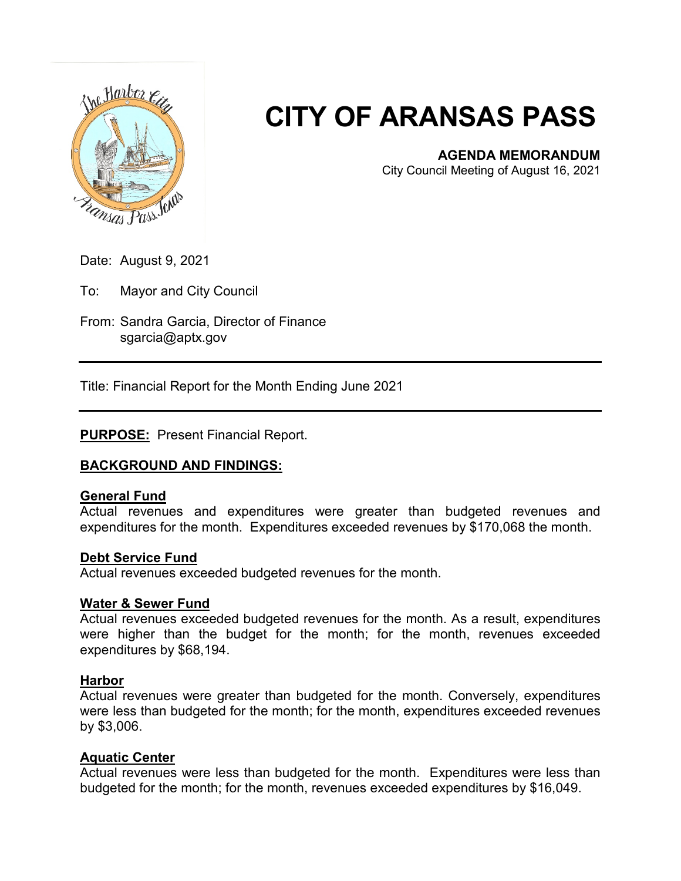

# **CITY OF ARANSAS PASS**

### **AGENDA MEMORANDUM**

City Council Meeting of August 16, 2021

Date: August 9, 2021

To: Mayor and City Council

From: Sandra Garcia, Director of Finance sgarcia@aptx.gov

Title: Financial Report for the Month Ending June 2021

## **PURPOSE:** Present Financial Report.

### **BACKGROUND AND FINDINGS:**

### **General Fund**

Actual revenues and expenditures were greater than budgeted revenues and expenditures for the month. Expenditures exceeded revenues by \$170,068 the month.

#### **Debt Service Fund**

Actual revenues exceeded budgeted revenues for the month.

#### **Water & Sewer Fund**

Actual revenues exceeded budgeted revenues for the month. As a result, expenditures were higher than the budget for the month; for the month, revenues exceeded expenditures by \$68,194.

### **Harbor**

Actual revenues were greater than budgeted for the month. Conversely, expenditures were less than budgeted for the month; for the month, expenditures exceeded revenues by \$3,006.

### **Aquatic Center**

Actual revenues were less than budgeted for the month. Expenditures were less than budgeted for the month; for the month, revenues exceeded expenditures by \$16,049.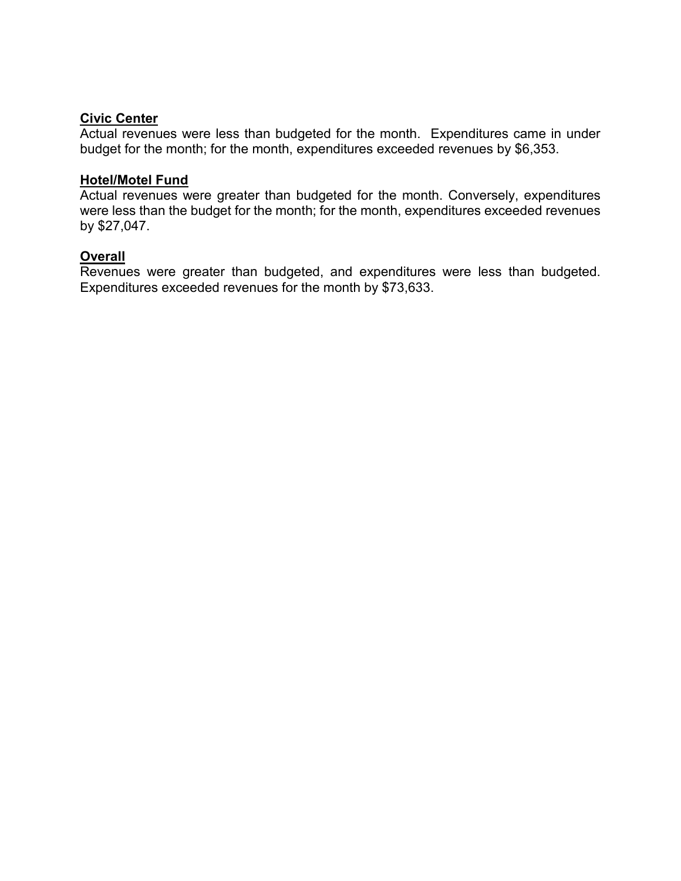### **Civic Center**

Actual revenues were less than budgeted for the month. Expenditures came in under budget for the month; for the month, expenditures exceeded revenues by \$6,353.

#### **Hotel/Motel Fund**

Actual revenues were greater than budgeted for the month. Conversely, expenditures were less than the budget for the month; for the month, expenditures exceeded revenues by \$27,047.

### **Overall**

Revenues were greater than budgeted, and expenditures were less than budgeted. Expenditures exceeded revenues for the month by \$73,633.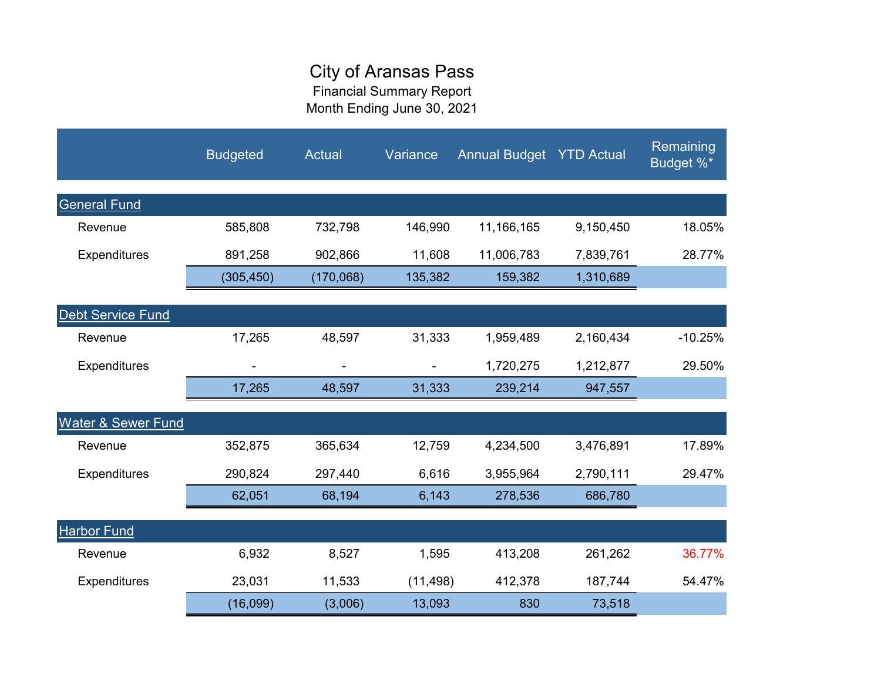# City of Aransas Pass

Financial Summary Report Month Ending June 30, 2021

|                               | <b>Budgeted</b> | <b>Actual</b> | Variance  | <b>Annual Budget YTD Actual</b> |           | Remaining<br>Budget %* |
|-------------------------------|-----------------|---------------|-----------|---------------------------------|-----------|------------------------|
| <b>General Fund</b>           |                 |               |           |                                 |           |                        |
| Revenue                       | 585,808         | 732,798       | 146,990   | 11,166,165                      | 9,150,450 | 18.05%                 |
| <b>Expenditures</b>           | 891,258         | 902,866       | 11,608    | 11,006,783                      | 7,839,761 | 28.77%                 |
|                               | (305, 450)      | (170,068)     | 135,382   | 159,382                         | 1,310,689 |                        |
| Debt Service Fund             |                 |               |           |                                 |           |                        |
| Revenue                       | 17,265          | 48,597        | 31,333    | 1,959,489                       | 2,160,434 | $-10.25%$              |
| <b>Expenditures</b>           |                 |               | ٠.        | 1,720,275                       | 1,212,877 | 29.50%                 |
|                               | 17,265          | 48,597        | 31,333    | 239,214                         | 947,557   |                        |
| <b>Water &amp; Sewer Fund</b> |                 |               |           |                                 |           |                        |
| Revenue                       | 352,875         | 365,634       | 12,759    | 4,234,500                       | 3,476,891 | 17.89%                 |
| <b>Expenditures</b>           | 290,824         | 297,440       | 6,616     | 3,955,964                       | 2,790,111 | 29.47%                 |
|                               | 62,051          | 68,194        | 6,143     | 278,536                         | 686,780   |                        |
| <b>Harbor Fund</b>            |                 |               |           |                                 |           |                        |
| Revenue                       | 6,932           | 8,527         | 1,595     | 413,208                         | 261,262   | 36.77%                 |
| <b>Expenditures</b>           | 23,031          | 11,533        | (11, 498) | 412,378                         | 187,744   | 54.47%                 |
|                               | (16,099)        | (3,006)       | 13,093    | 830                             | 73,518    |                        |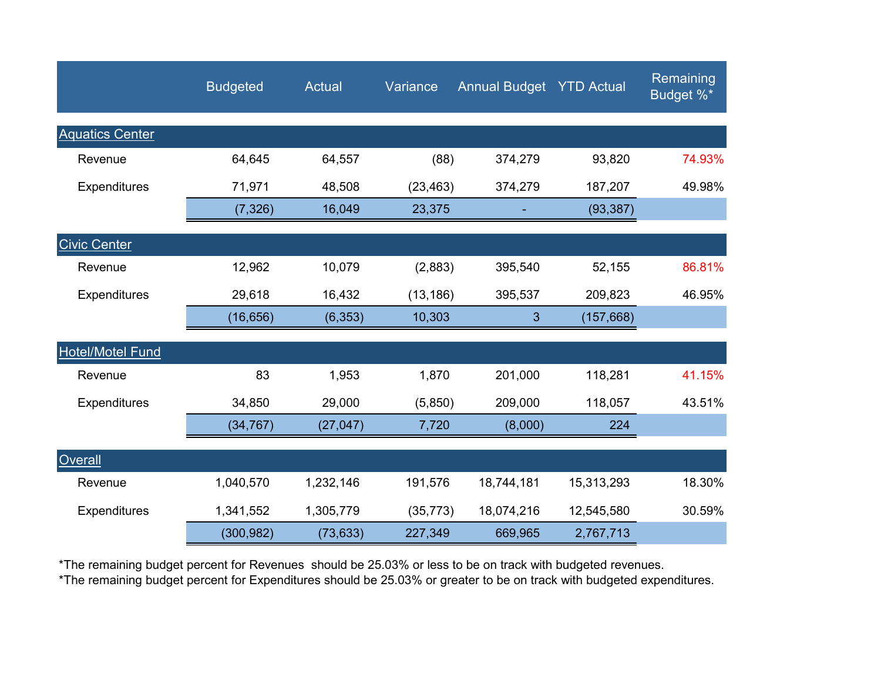|                         | <b>Budgeted</b> | <b>Actual</b> | Variance  | <b>Annual Budget YTD Actual</b> |            | Remaining<br>Budget %* |
|-------------------------|-----------------|---------------|-----------|---------------------------------|------------|------------------------|
| <b>Aquatics Center</b>  |                 |               |           |                                 |            |                        |
| Revenue                 | 64,645          | 64,557        | (88)      | 374,279                         | 93,820     | 74.93%                 |
| <b>Expenditures</b>     | 71,971          | 48,508        | (23, 463) | 374,279                         | 187,207    | 49.98%                 |
|                         | (7, 326)        | 16,049        | 23,375    |                                 | (93, 387)  |                        |
| <b>Civic Center</b>     |                 |               |           |                                 |            |                        |
| Revenue                 | 12,962          | 10,079        | (2,883)   | 395,540                         | 52,155     | 86.81%                 |
| Expenditures            | 29,618          | 16,432        | (13, 186) | 395,537                         | 209,823    | 46.95%                 |
|                         | (16, 656)       | (6, 353)      | 10,303    | 3                               | (157, 668) |                        |
| <b>Hotel/Motel Fund</b> |                 |               |           |                                 |            |                        |
| Revenue                 | 83              | 1,953         | 1,870     | 201,000                         | 118,281    | 41.15%                 |
| <b>Expenditures</b>     | 34,850          | 29,000        | (5,850)   | 209,000                         | 118,057    | 43.51%                 |
|                         | (34, 767)       | (27, 047)     | 7,720     | (8,000)                         | 224        |                        |
| <b>Overall</b>          |                 |               |           |                                 |            |                        |
| Revenue                 | 1,040,570       | 1,232,146     | 191,576   | 18,744,181                      | 15,313,293 | 18.30%                 |
| Expenditures            | 1,341,552       | 1,305,779     | (35, 773) | 18,074,216                      | 12,545,580 | 30.59%                 |
|                         | (300, 982)      | (73, 633)     | 227,349   | 669,965                         | 2,767,713  |                        |

\*The remaining budget percent for Revenues should be 25.03% or less to be on track with budgeted revenues.

\*The remaining budget percent for Expenditures should be 25.03% or greater to be on track with budgeted expenditures.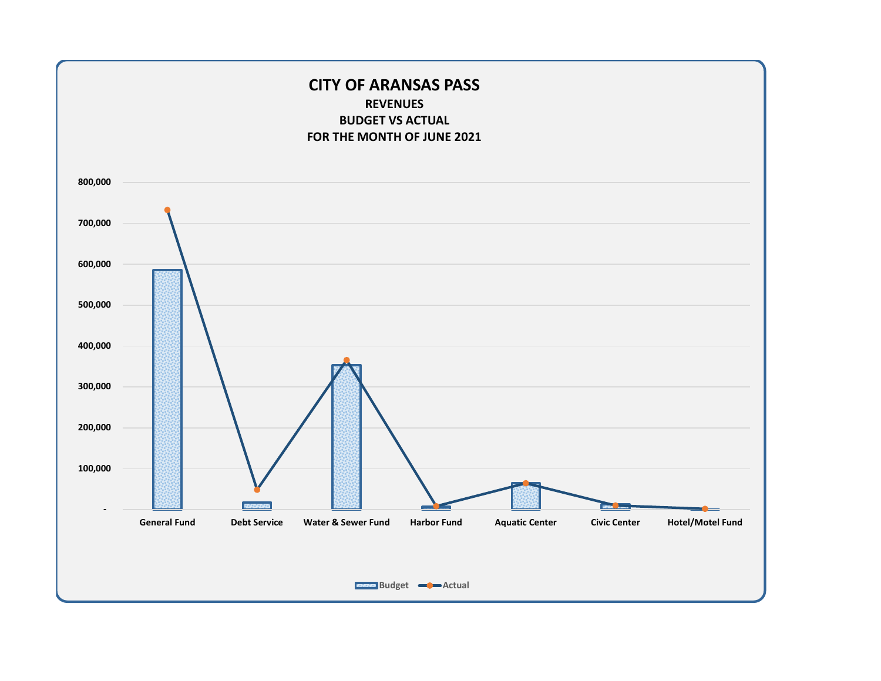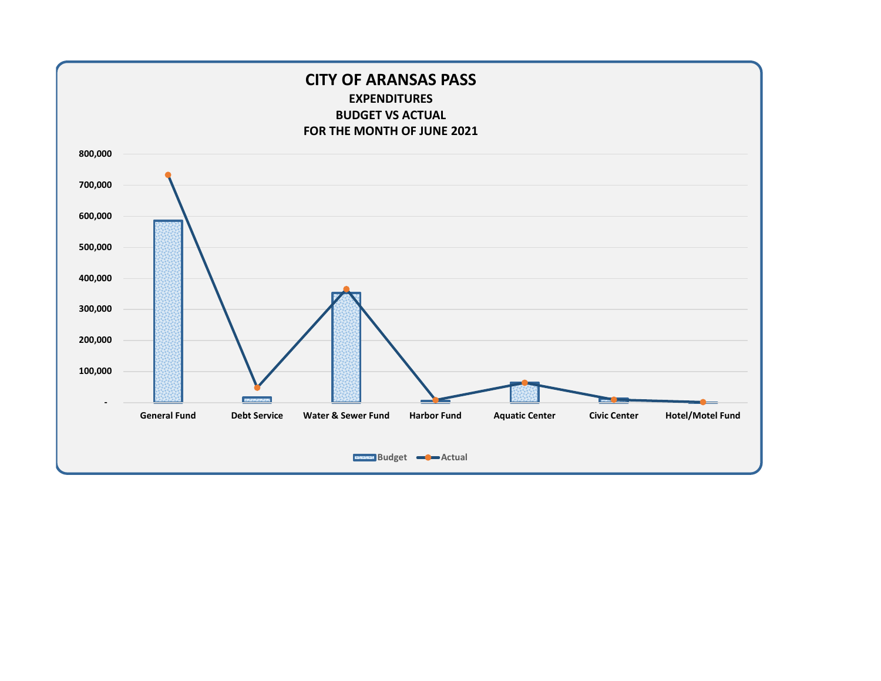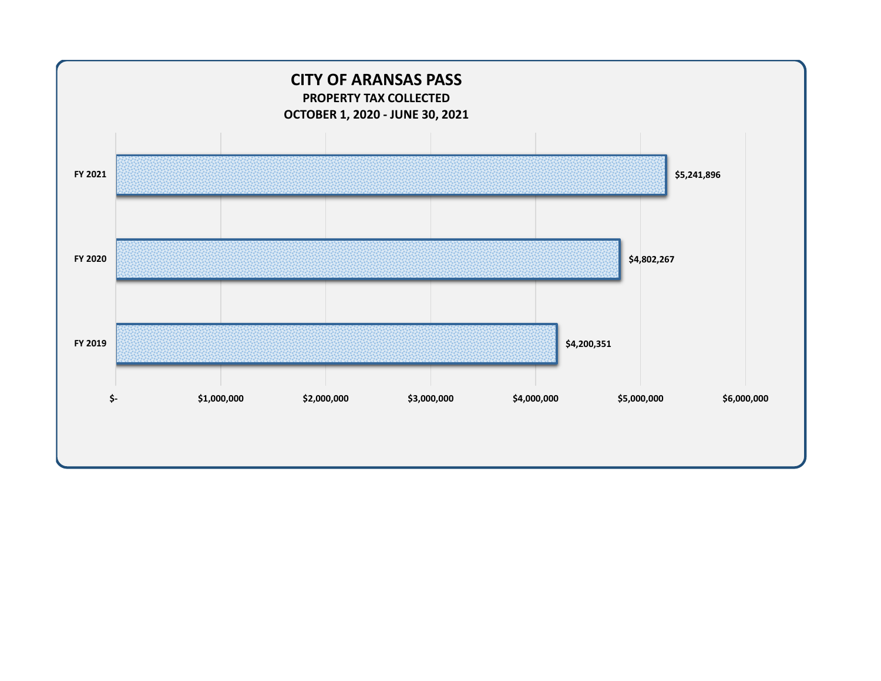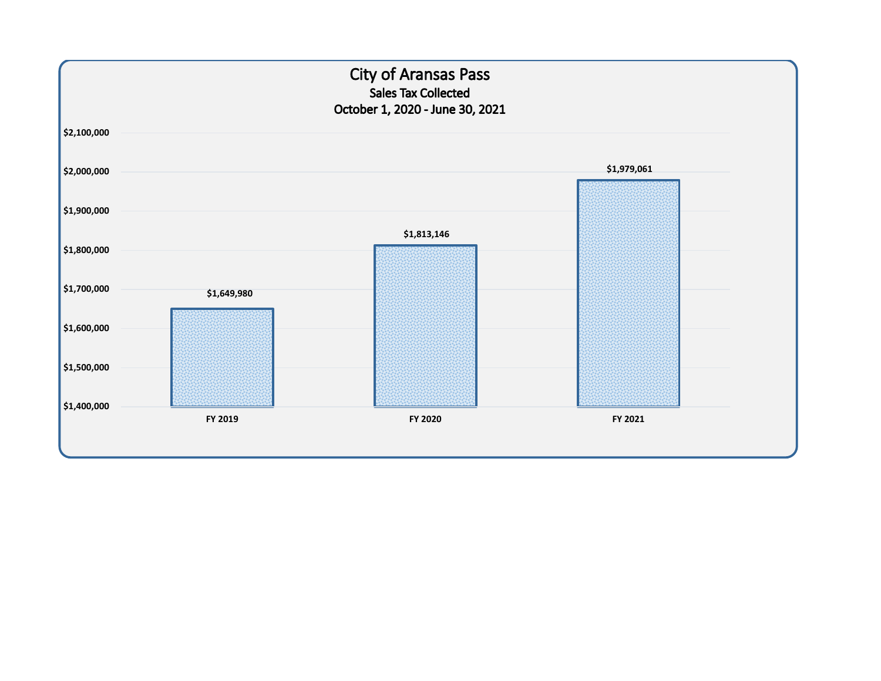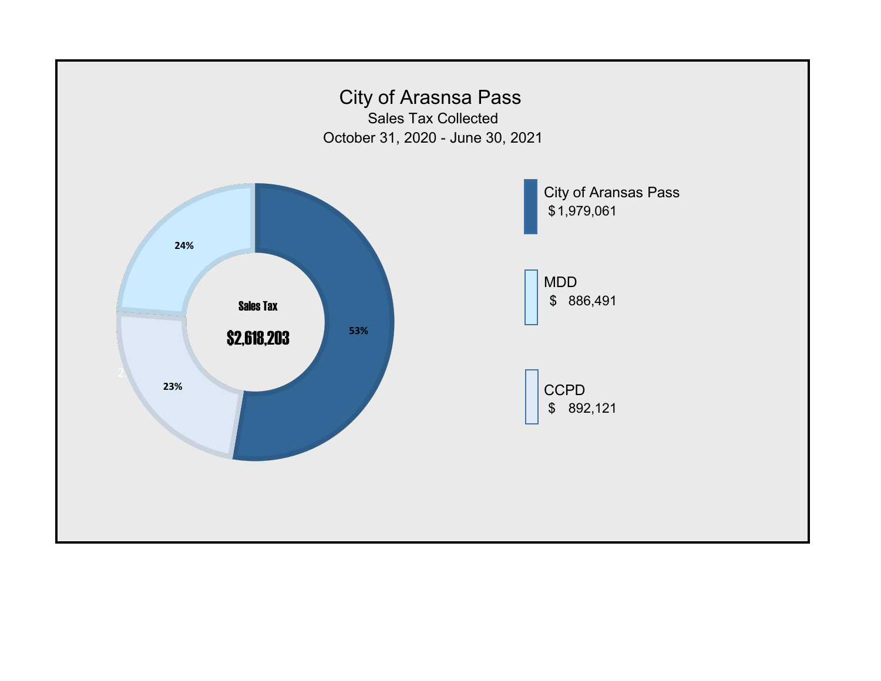